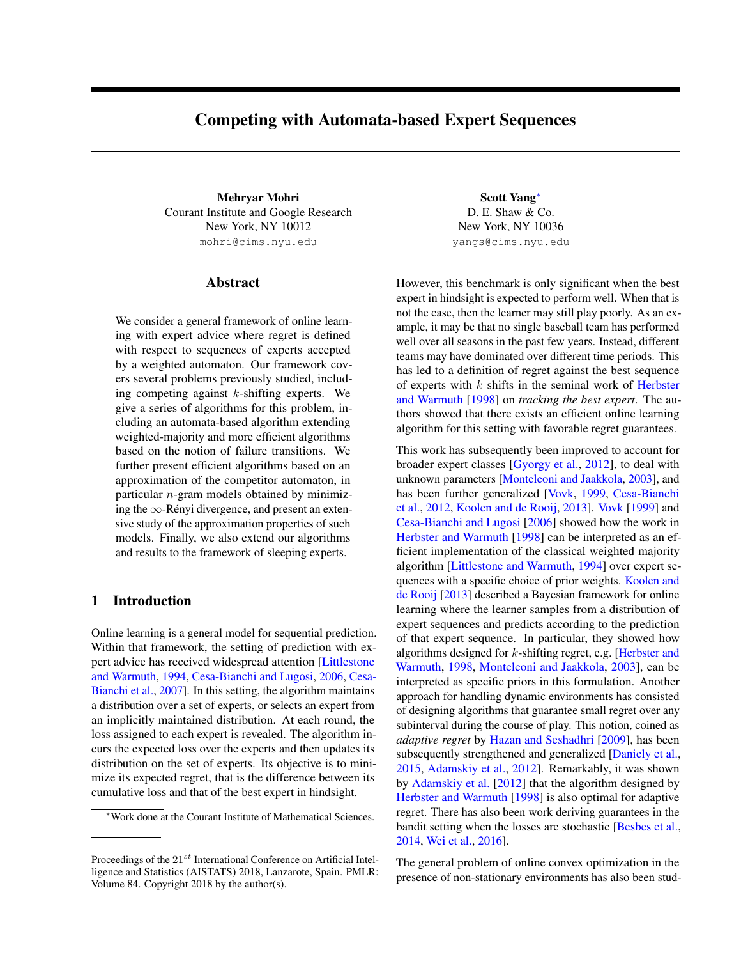# Competing with Automata-based Expert Sequences

Mehryar Mohri Scott Yang<sup>∗</sup> Courant Institute and Google Research New York, NY 10012 mohri@cims.nyu.edu

# Abstract

We consider a general framework of online learning with expert advice where regret is defined with respect to sequences of experts accepted by a weighted automaton. Our framework covers several problems previously studied, including competing against  $k$ -shifting experts. We give a series of algorithms for this problem, including an automata-based algorithm extending weighted-majority and more efficient algorithms based on the notion of failure transitions. We further present efficient algorithms based on an approximation of the competitor automaton, in particular  $n$ -gram models obtained by minimizing the  $\infty$ -Rényi divergence, and present an extensive study of the approximation properties of such models. Finally, we also extend our algorithms and results to the framework of sleeping experts.

# 1 Introduction

Online learning is a general model for sequential prediction. Within that framework, the setting of prediction with expert advice has received widespread attention [Littlestone and Warmuth, 1994, Cesa-Bianchi and Lugosi, 2006, Cesa-Bianchi et al., 2007]. In this setting, the algorithm maintains a distribution over a set of experts, or selects an expert from an implicitly maintained distribution. At each round, the loss assigned to each expert is revealed. The algorithm incurs the expected loss over the experts and then updates its distribution on the set of experts. Its objective is to minimize its expected regret, that is the difference between its cumulative loss and that of the best expert in hindsight.

D. E. Shaw & Co. New York, NY 10036 yangs@cims.nyu.edu

However, this benchmark is only significant when the best expert in hindsight is expected to perform well. When that is not the case, then the learner may still play poorly. As an example, it may be that no single baseball team has performed well over all seasons in the past few years. Instead, different teams may have dominated over different time periods. This has led to a definition of regret against the best sequence of experts with  $k$  shifts in the seminal work of Herbster and Warmuth [1998] on *tracking the best expert*. The authors showed that there exists an efficient online learning algorithm for this setting with favorable regret guarantees.

This work has subsequently been improved to account for broader expert classes [Gyorgy et al., 2012], to deal with unknown parameters [Monteleoni and Jaakkola, 2003], and has been further generalized [Vovk, 1999, Cesa-Bianchi et al., 2012, Koolen and de Rooij, 2013]. Vovk [1999] and Cesa-Bianchi and Lugosi [2006] showed how the work in Herbster and Warmuth [1998] can be interpreted as an efficient implementation of the classical weighted majority algorithm [Littlestone and Warmuth, 1994] over expert sequences with a specific choice of prior weights. Koolen and de Rooij [2013] described a Bayesian framework for online learning where the learner samples from a distribution of expert sequences and predicts according to the prediction of that expert sequence. In particular, they showed how algorithms designed for k-shifting regret, e.g. [Herbster and Warmuth, 1998, Monteleoni and Jaakkola, 2003], can be interpreted as specific priors in this formulation. Another approach for handling dynamic environments has consisted of designing algorithms that guarantee small regret over any subinterval during the course of play. This notion, coined as *adaptive regret* by Hazan and Seshadhri [2009], has been subsequently strengthened and generalized [Daniely et al., 2015, Adamskiy et al., 2012]. Remarkably, it was shown by Adamskiy et al. [2012] that the algorithm designed by Herbster and Warmuth [1998] is also optimal for adaptive regret. There has also been work deriving guarantees in the bandit setting when the losses are stochastic [Besbes et al., 2014, Wei et al., 2016].

The general problem of online convex optimization in the presence of non-stationary environments has also been stud-

<sup>∗</sup>Work done at the Courant Institute of Mathematical Sciences.

Proceedings of the  $21^{st}$  International Conference on Artificial Intelligence and Statistics (AISTATS) 2018, Lanzarote, Spain. PMLR: Volume 84. Copyright 2018 by the author(s).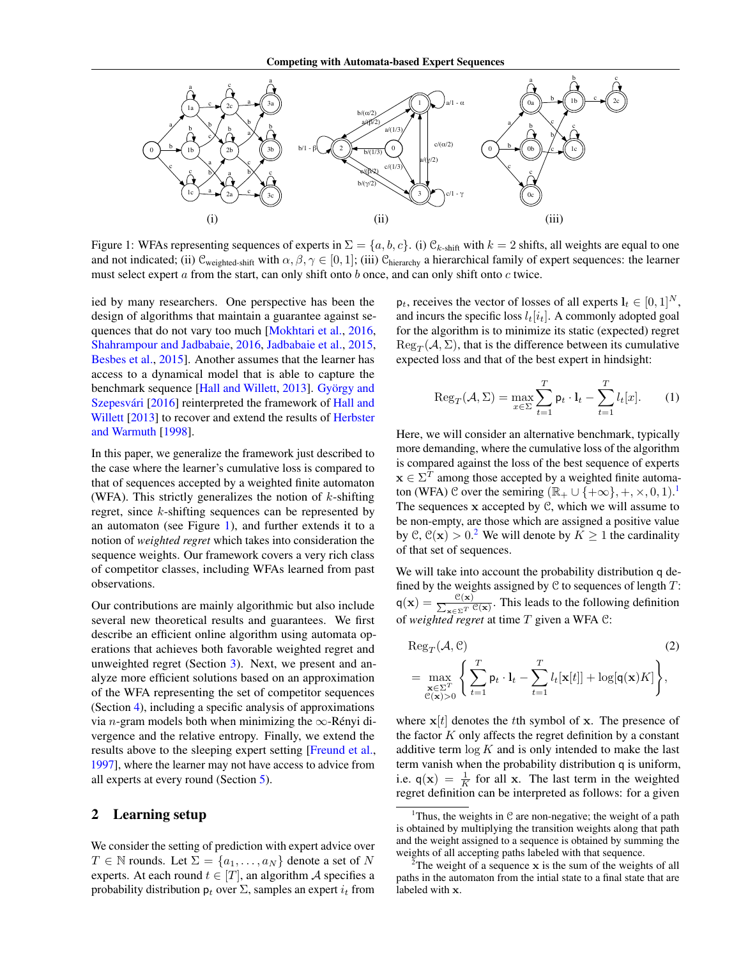

Figure 1: WFAs representing sequences of experts in  $\Sigma = \{a, b, c\}$ . (i)  $\mathcal{C}_{k\text{-shift}}$  with  $k = 2$  shifts, all weights are equal to one and not indicated; (ii)  $\mathcal{C}_{weighted\text{-}shift}$  with  $\alpha, \beta, \gamma \in [0, 1]$ ; (iii)  $\mathcal{C}_{hierarchical}$  a hierarchical family of expert sequences: the learner must select expert  $\alpha$  from the start, can only shift onto  $b$  once, and can only shift onto  $c$  twice.

ied by many researchers. One perspective has been the design of algorithms that maintain a guarantee against sequences that do not vary too much [Mokhtari et al., 2016, Shahrampour and Jadbabaie, 2016, Jadbabaie et al., 2015, Besbes et al., 2015]. Another assumes that the learner has access to a dynamical model that is able to capture the benchmark sequence [Hall and Willett, 2013]. György and Szepesvári [2016] reinterpreted the framework of Hall and Willett [2013] to recover and extend the results of Herbster and Warmuth [1998].

In this paper, we generalize the framework just described to the case where the learner's cumulative loss is compared to that of sequences accepted by a weighted finite automaton (WFA). This strictly generalizes the notion of  $k$ -shifting regret, since k-shifting sequences can be represented by an automaton (see Figure 1), and further extends it to a notion of *weighted regret* which takes into consideration the sequence weights. Our framework covers a very rich class of competitor classes, including WFAs learned from past observations.

Our contributions are mainly algorithmic but also include several new theoretical results and guarantees. We first describe an efficient online algorithm using automata operations that achieves both favorable weighted regret and unweighted regret (Section 3). Next, we present and analyze more efficient solutions based on an approximation of the WFA representing the set of competitor sequences (Section 4), including a specific analysis of approximations via *n*-gram models both when minimizing the  $\infty$ -Rényi divergence and the relative entropy. Finally, we extend the results above to the sleeping expert setting [Freund et al., 1997], where the learner may not have access to advice from all experts at every round (Section 5).

# 2 Learning setup

We consider the setting of prediction with expert advice over  $T \in \mathbb{N}$  rounds. Let  $\Sigma = \{a_1, \ldots, a_N\}$  denote a set of N experts. At each round  $t \in [T]$ , an algorithm A specifies a probability distribution  $p_t$  over  $\Sigma$ , samples an expert  $i_t$  from  $p_t$ , receives the vector of losses of all experts  $l_t \in [0, 1]^N$ , and incurs the specific loss  $l_t[i_t]$ . A commonly adopted goal for the algorithm is to minimize its static (expected) regret  $\text{Reg}_T(\mathcal{A}, \Sigma)$ , that is the difference between its cumulative expected loss and that of the best expert in hindsight:

$$
\operatorname{Reg}_{T}(\mathcal{A}, \Sigma) = \max_{x \in \Sigma} \sum_{t=1}^{T} \mathsf{p}_{t} \cdot \mathbf{l}_{t} - \sum_{t=1}^{T} l_{t}[x]. \tag{1}
$$

Here, we will consider an alternative benchmark, typically more demanding, where the cumulative loss of the algorithm is compared against the loss of the best sequence of experts  $x \in \Sigma^{T}$  among those accepted by a weighted finite automaton (WFA) C over the semiring  $(\mathbb{R}_{+} \cup \{+\infty\}, +, \times, 0, 1)$ .<sup>1</sup> The sequences  $x$  accepted by  $C$ , which we will assume to be non-empty, are those which are assigned a positive value by  $\mathcal{C}, \mathcal{C}(\mathbf{x}) > 0$ .<sup>2</sup> We will denote by  $K \ge 1$  the cardinality of that set of sequences.

We will take into account the probability distribution q defined by the weights assigned by  $C$  to sequences of length  $T$ :  $q(x) = \frac{\mathcal{C}(x)}{\sum_{x \in \Sigma^T} \mathcal{C}(x)}$ . This leads to the following definition of *weighted regret* at time T given a WFA C:

$$
\operatorname{Reg}_{T}(\mathcal{A}, \mathcal{C})
$$
\n
$$
= \max_{\substack{\mathbf{x} \in \Sigma^{T} \\ \mathcal{C}(\mathbf{x}) > 0}} \left\{ \sum_{t=1}^{T} \mathsf{p}_{t} \cdot \mathbf{l}_{t} - \sum_{t=1}^{T} l_{t}[\mathbf{x}[t]] + \log[\mathbf{q}(\mathbf{x})K] \right\},
$$
\n(2)

where  $x[t]$  denotes the tth symbol of x. The presence of the factor  $K$  only affects the regret definition by a constant additive term  $\log K$  and is only intended to make the last term vanish when the probability distribution q is uniform, i.e.  $q(x) = \frac{1}{K}$  for all x. The last term in the weighted regret definition can be interpreted as follows: for a given

<sup>&</sup>lt;sup>1</sup>Thus, the weights in  $C$  are non-negative; the weight of a path is obtained by multiplying the transition weights along that path and the weight assigned to a sequence is obtained by summing the weights of all accepting paths labeled with that sequence.

<sup>&</sup>lt;sup>2</sup>The weight of a sequence  $x$  is the sum of the weights of all paths in the automaton from the intial state to a final state that are labeled with x.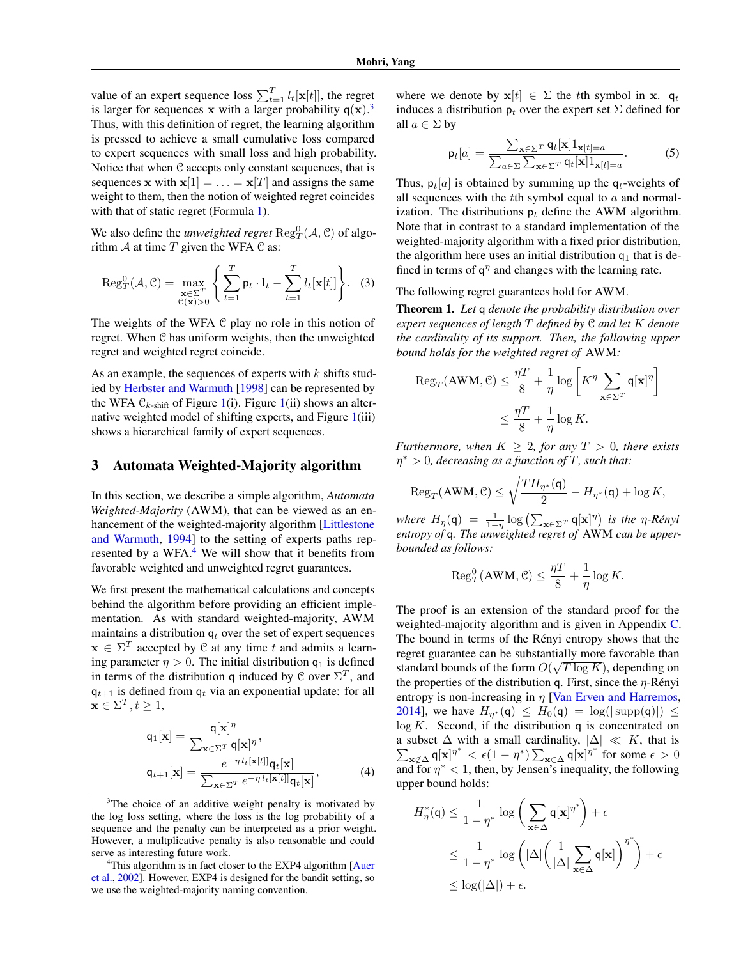value of an expert sequence loss  $\sum_{t=1}^{T} l_t[\mathbf{x}[t]]$ , the regret is larger for sequences x with a larger probability  $q(x)$ .<sup>3</sup> Thus, with this definition of regret, the learning algorithm is pressed to achieve a small cumulative loss compared to expert sequences with small loss and high probability. Notice that when C accepts only constant sequences, that is sequences x with  $x[1] = \ldots = x[T]$  and assigns the same weight to them, then the notion of weighted regret coincides with that of static regret (Formula 1).

We also define the *unweighted regret*  $\text{Reg}^0_T(\mathcal{A}, \mathcal{C})$  of algorithm  $A$  at time  $T$  given the WFA  $C$  as:

$$
\operatorname{Reg}_{T}^{0}(\mathcal{A}, \mathcal{C}) = \max_{\substack{\mathbf{x} \in \Sigma^{T} \\ \mathcal{C}(\mathbf{x}) > 0}} \left\{ \sum_{t=1}^{T} \mathsf{p}_{t} \cdot \mathbf{l}_{t} - \sum_{t=1}^{T} l_{t}[\mathbf{x}[t]] \right\}.
$$
 (3)

The weights of the WFA  $C$  play no role in this notion of regret. When C has uniform weights, then the unweighted regret and weighted regret coincide.

As an example, the sequences of experts with  $k$  shifts studied by Herbster and Warmuth [1998] can be represented by the WFA  $\mathcal{C}_{k\text{-shift}}$  of Figure 1(i). Figure 1(ii) shows an alternative weighted model of shifting experts, and Figure 1(iii) shows a hierarchical family of expert sequences.

### 3 Automata Weighted-Majority algorithm

In this section, we describe a simple algorithm, *Automata Weighted-Majority* (AWM), that can be viewed as an enhancement of the weighted-majority algorithm [Littlestone and Warmuth, 1994] to the setting of experts paths represented by a WFA.<sup>4</sup> We will show that it benefits from favorable weighted and unweighted regret guarantees.

We first present the mathematical calculations and concepts behind the algorithm before providing an efficient implementation. As with standard weighted-majority, AWM maintains a distribution  $q_t$  over the set of expert sequences  $\mathbf{x} \in \Sigma^{T}$  accepted by C at any time t and admits a learning parameter  $\eta > 0$ . The initial distribution  $q_1$  is defined in terms of the distribution q induced by C over  $\Sigma^T$ , and  $q_{t+1}$  is defined from  $q_t$  via an exponential update: for all  $\mathbf{x} \in \Sigma^T, t \geq 1$ ,

$$
q_1[\mathbf{x}] = \frac{\mathbf{q}[\mathbf{x}]^{\eta}}{\sum_{\mathbf{x} \in \Sigma^T} \mathbf{q}[\mathbf{x}]^{\eta}},
$$
  

$$
q_{t+1}[\mathbf{x}] = \frac{e^{-\eta l_t[\mathbf{x}[t]]} \mathbf{q}_t[\mathbf{x}]}{\sum_{\mathbf{x} \in \Sigma^T} e^{-\eta l_t[\mathbf{x}[t]]} \mathbf{q}_t[\mathbf{x}]},
$$
(4)

<sup>3</sup>The choice of an additive weight penalty is motivated by the log loss setting, where the loss is the log probability of a sequence and the penalty can be interpreted as a prior weight. However, a multplicative penalty is also reasonable and could serve as interesting future work.

<sup>4</sup>This algorithm is in fact closer to the EXP4 algorithm [Auer et al., 2002]. However, EXP4 is designed for the bandit setting, so we use the weighted-majority naming convention.

where we denote by  $x[t] \in \Sigma$  the tth symbol in x.  $q_t$ induces a distribution  $p_t$  over the expert set  $\Sigma$  defined for all  $a \in \Sigma$  by

$$
\mathsf{p}_t[a] = \frac{\sum_{\mathbf{x} \in \Sigma^T} \mathsf{q}_t[\mathbf{x}] 1_{\mathbf{x}[t]=a}}{\sum_{a \in \Sigma} \sum_{\mathbf{x} \in \Sigma^T} \mathsf{q}_t[\mathbf{x}] 1_{\mathbf{x}[t]=a}}.
$$
(5)

Thus,  $p_t[a]$  is obtained by summing up the  $q_t$ -weights of all sequences with the  $t$ th symbol equal to  $a$  and normalization. The distributions  $p_t$  define the AWM algorithm. Note that in contrast to a standard implementation of the weighted-majority algorithm with a fixed prior distribution, the algorithm here uses an initial distribution  $q_1$  that is defined in terms of  $q^{\eta}$  and changes with the learning rate.

The following regret guarantees hold for AWM.

Theorem 1. *Let* q *denote the probability distribution over expert sequences of length* T *defined by* C *and let* K *denote the cardinality of its support. Then, the following upper bound holds for the weighted regret of* AWM*:*

$$
\begin{aligned} \text{Reg}_{T}(\text{AWM}, \mathcal{C}) &\leq \frac{\eta T}{8} + \frac{1}{\eta} \log \left[ K^{\eta} \sum_{\mathbf{x} \in \Sigma^{T}} \mathbf{q}[\mathbf{x}]^{\eta} \right] \\ &\leq \frac{\eta T}{8} + \frac{1}{\eta} \log K. \end{aligned}
$$

*Furthermore, when*  $K \geq 2$ *, for any*  $T > 0$ *, there exists* η<sup>∗</sup> > 0*, decreasing as a function of* T*, such that:*

$$
\mathrm{Reg}_{T}(\mathrm{AWM}, \mathcal{C}) \leq \sqrt{\frac{TH_{\eta^*}(\mathsf{q})}{2}} - H_{\eta^*}(\mathsf{q}) + \log K,
$$

*where*  $H_{\eta}(\mathbf{q}) = \frac{1}{1-\eta} \log \left( \sum_{\mathbf{x} \in \Sigma^{T}} \mathbf{q}[\mathbf{x}]^{\eta} \right)$  *is the*  $\eta$ -*Rényi entropy of* q*. The unweighted regret of* AWM *can be upperbounded as follows:*

$$
\operatorname{Reg}_{T}^{0}(\mathbf{AWM}, \mathcal{C}) \le \frac{\eta T}{8} + \frac{1}{\eta} \log K.
$$

The proof is an extension of the standard proof for the weighted-majority algorithm and is given in Appendix C. The bound in terms of the Rényi entropy shows that the regret guarantee can be substantially more favorable than standard bounds of the form  $O(\sqrt{T \log K})$ , depending on the properties of the distribution q. First, since the  $\eta$ -Rényi entropy is non-increasing in  $\eta$  [Van Erven and Harremos, 2014], we have  $H_{\eta^*}(\mathsf{q}) \leq H_0(\mathsf{q}) = \log(|\text{supp}(\mathsf{q})|) \leq$  $log K$ . Second, if the distribution q is concentrated on a subset  $\Delta$  with a small cardinality,  $|\Delta| \ll K$ , that is  $\sum_{\mathbf{x}\notin\Delta} \mathsf{q}[\mathbf{x}]^{\eta^*} < \epsilon(1-\eta^*) \sum_{\mathbf{x}\in\Delta} \mathsf{q}[\mathbf{x}]^{\eta^*}$  for some  $\epsilon > 0$ and for  $\eta^*$  < 1, then, by Jensen's inequality, the following upper bound holds:

$$
H_{\eta}^{*}(\mathbf{q}) \leq \frac{1}{1 - \eta^{*}} \log \left( \sum_{\mathbf{x} \in \Delta} \mathbf{q}[\mathbf{x}]^{\eta^{*}} \right) + \epsilon
$$
  
\$\leq \frac{1}{1 - \eta^{\*}} \log \left( |\Delta| \left( \frac{1}{|\Delta|} \sum\_{\mathbf{x} \in \Delta} \mathbf{q}[\mathbf{x}] \right)^{\eta^{\*}} \right) + \epsilon\$  
\$\leq \log(|\Delta|) + \epsilon\$.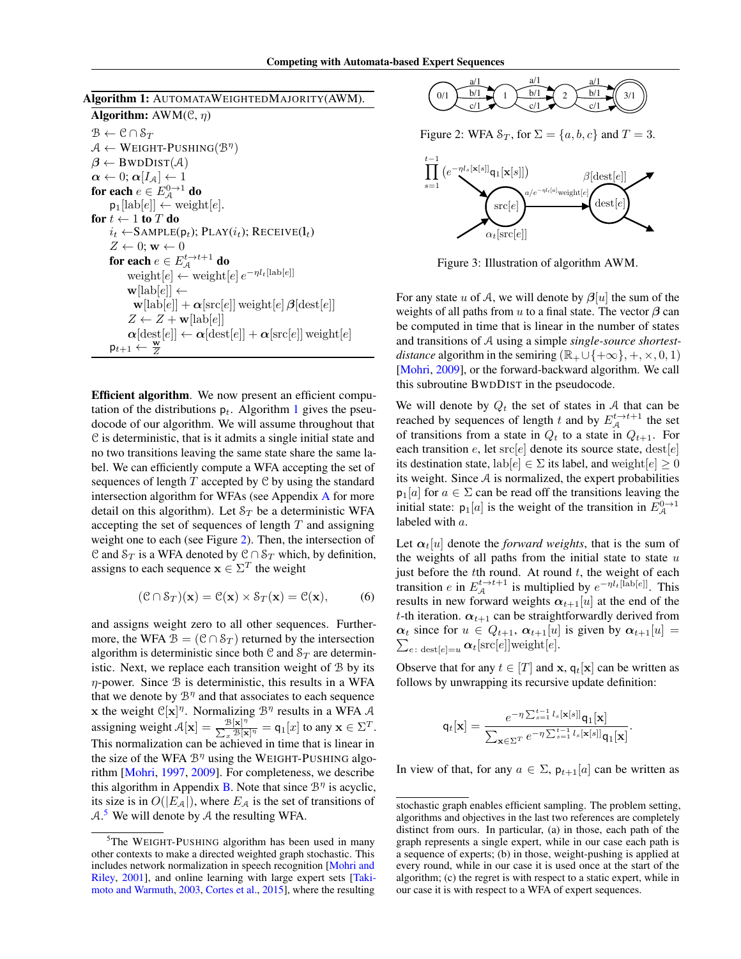Algorithm 1: AUTOMATAWEIGHTEDMAJORITY(AWM).

Algorithm:  $AWM(\mathcal{C}, \eta)$  $\mathcal{B} \leftarrow \mathcal{C} \cap \mathcal{S}_T$  $A \leftarrow \text{WEIGHT-PUSHING}(\mathcal{B}^{\eta})$  $\beta \leftarrow \text{BWDDIST}(\mathcal{A})$  $\alpha \leftarrow 0; \alpha[I_{\mathcal{A}}] \leftarrow 1$ for each  $e \in E_{\mathcal{A}}^{0 \rightarrow 1}$  do  $\mathsf{p}_1[\text{lab}[e]] \leftarrow \text{weight}[e].$ for  $t \leftarrow 1$  to  $T$  do  $i_t \leftarrow$ SAMPLE( $p_t$ ); PLAY( $i_t$ ); RECEIVE( $l_t$ )  $Z \leftarrow 0; \mathbf{w} \leftarrow 0$ for each  $e \in E_{\mathcal{A}}^{t \to t+1}$  do weight<br>[ $e$ ] ← weight<br>[ $e$ ]  $e^{-\eta l_t [\text{lab}[e]]}$  $\mathbf{w}[\text{lab}[e]] \leftarrow$  ${\bf w}[\text{lab}[e]] + {\boldsymbol{\alpha}}[\text{src}[e]]$  weight $[e]$   ${\boldsymbol{\beta}}[\text{dest}[e]]$  $Z \leftarrow Z + \mathbf{w}[\text{lab}[e]]$  $\alpha[\text{dest}[e]] \leftarrow \alpha[\text{dest}[e]] + \alpha[\text{src}[e]]$  weight $[e]$  $\mathsf{p}_{t+1} \leftarrow$ Z

Efficient algorithm. We now present an efficient computation of the distributions  $p_t$ . Algorithm 1 gives the pseudocode of our algorithm. We will assume throughout that C is deterministic, that is it admits a single initial state and no two transitions leaving the same state share the same label. We can efficiently compute a WFA accepting the set of sequences of length  $T$  accepted by  $C$  by using the standard intersection algorithm for WFAs (see Appendix A for more detail on this algorithm). Let  $S_T$  be a deterministic WFA accepting the set of sequences of length  $T$  and assigning weight one to each (see Figure 2). Then, the intersection of C and  $S_T$  is a WFA denoted by  $C \cap S_T$  which, by definition, assigns to each sequence  $\mathbf{x} \in \Sigma^{T}$  the weight

$$
(\mathcal{C} \cap \mathcal{S}_T)(\mathbf{x}) = \mathcal{C}(\mathbf{x}) \times \mathcal{S}_T(\mathbf{x}) = \mathcal{C}(\mathbf{x}), \quad (6)
$$

and assigns weight zero to all other sequences. Furthermore, the WFA  $\mathcal{B} = (\mathcal{C} \cap \mathcal{S}_T)$  returned by the intersection algorithm is deterministic since both  $C$  and  $S_T$  are deterministic. Next, we replace each transition weight of B by its  $\eta$ -power. Since  $\beta$  is deterministic, this results in a WFA that we denote by  $\mathcal{B}^{\eta}$  and that associates to each sequence x the weight  $\mathbb{C}[\mathbf{x}]^{\eta}$ . Normalizing  $\mathcal{B}^{\eta}$  results in a WFA A assigning weight  $A[x] = \frac{\mathcal{B}[x]^n}{\sum_{i=1}^{n} B[x]}$  $\frac{\mathcal{B}[\mathbf{x}]^{\eta}}{\sum_{x} \mathcal{B}[\mathbf{x}]^{\eta}} = \mathsf{q}_{1}[x]$  to any  $\mathbf{x} \in \Sigma^{T}$ . This normalization can be achieved in time that is linear in the size of the WFA  $\mathcal{B}^{\eta}$  using the WEIGHT-PUSHING algorithm [Mohri, 1997, 2009]. For completeness, we describe this algorithm in Appendix B. Note that since  $\mathcal{B}^{\eta}$  is acyclic, its size is in  $O(|E_{\mathcal{A}}|)$ , where  $E_{\mathcal{A}}$  is the set of transitions of  $A$ <sup>5</sup>. We will denote by  $A$  the resulting WFA.



Figure 2: WFA  $S_T$ , for  $\Sigma = \{a, b, c\}$  and  $T = 3$ .



Figure 3: Illustration of algorithm AWM.

For any state u of A, we will denote by  $\beta[u]$  the sum of the weights of all paths from u to a final state. The vector  $\beta$  can be computed in time that is linear in the number of states and transitions of A using a simple *single-source shortestdistance* algorithm in the semiring  $(\mathbb{R}_{+} \cup \{+\infty\}, +, \times, 0, 1)$ [Mohri, 2009], or the forward-backward algorithm. We call this subroutine BWDDIST in the pseudocode.

We will denote by  $Q_t$  the set of states in A that can be reached by sequences of length t and by  $E_{A}^{t\rightarrow t+1}$  the set of transitions from a state in  $Q_t$  to a state in  $Q_{t+1}$ . For each transition e, let  $\text{src}[e]$  denote its source state,  $\text{dest}[e]$ its destination state, lab $[e] \in \Sigma$  its label, and weight $[e] \geq 0$ its weight. Since  $A$  is normalized, the expert probabilities  $p_1[a]$  for  $a \in \Sigma$  can be read off the transitions leaving the initial state:  $p_1[a]$  is the weight of the transition in  $E^{0\to 1}_{\mathcal{A}}$ labeled with a.

Let  $\alpha_t[u]$  denote the *forward weights*, that is the sum of the weights of all paths from the initial state to state  $u$ just before the  $t$ th round. At round  $t$ , the weight of each transition *e* in  $E_A^{t \to t+1}$  is multiplied by  $e^{-\eta l_t [\text{lab}[e]]}$ . This results in new forward weights  $\alpha_{t+1}[u]$  at the end of the t-th iteration.  $\alpha_{t+1}$  can be straightforwardly derived from  $\alpha_t$  since for  $u \in Q_{t+1}$ ,  $\alpha_{t+1}[u]$  is given by  $\alpha_{t+1}[u] = \sum_{e:\text{ dest}[e] = u} \alpha_t[\text{src}[e]]$ weight $[e]$ .

Observe that for any  $t \in [T]$  and  $x$ ,  $q_t[x]$  can be written as follows by unwrapping its recursive update definition:

$$
\mathbf{q}_t[\mathbf{x}] = \frac{e^{-\eta \sum_{s=1}^{t-1} l_s[\mathbf{x}[s]]} \mathbf{q}_1[\mathbf{x}]}{\sum_{\mathbf{x} \in \Sigma^T} e^{-\eta \sum_{s=1}^{t-1} l_s[\mathbf{x}[s]]} \mathbf{q}_1[\mathbf{x}]}
$$

.

In view of that, for any  $a \in \Sigma$ ,  $p_{t+1}[a]$  can be written as

<sup>&</sup>lt;sup>5</sup>The WEIGHT-PUSHING algorithm has been used in many other contexts to make a directed weighted graph stochastic. This includes network normalization in speech recognition [Mohri and Riley, 2001], and online learning with large expert sets [Takimoto and Warmuth, 2003, Cortes et al., 2015], where the resulting

stochastic graph enables efficient sampling. The problem setting, algorithms and objectives in the last two references are completely distinct from ours. In particular, (a) in those, each path of the graph represents a single expert, while in our case each path is a sequence of experts; (b) in those, weight-pushing is applied at every round, while in our case it is used once at the start of the algorithm; (c) the regret is with respect to a static expert, while in our case it is with respect to a WFA of expert sequences.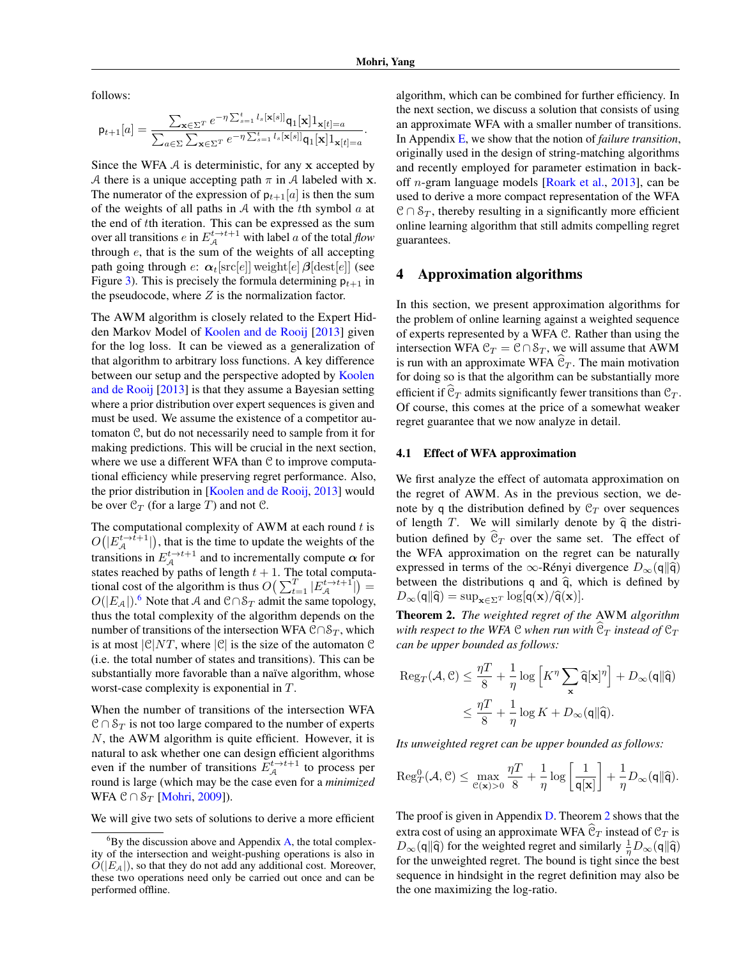follows:

$$
\mathbf{p}_{t+1}[a] = \frac{\sum_{\mathbf{x} \in \Sigma^{T}} e^{-\eta \sum_{s=1}^{t} l_{s}[\mathbf{x}[s]]} \mathbf{q}_{1}[\mathbf{x}] \mathbf{1}_{\mathbf{x}[t]=a}}{\sum_{a \in \Sigma} \sum_{\mathbf{x} \in \Sigma^{T}} e^{-\eta \sum_{s=1}^{t} l_{s}[\mathbf{x}[s]]} \mathbf{q}_{1}[\mathbf{x}] \mathbf{1}_{\mathbf{x}[t]=a}}.
$$

Since the WFA  $\mathcal A$  is deterministic, for any x accepted by A there is a unique accepting path  $\pi$  in A labeled with x. The numerator of the expression of  $p_{t+1}[a]$  is then the sum of the weights of all paths in  $A$  with the tth symbol  $a$  at the end of tth iteration. This can be expressed as the sum over all transitions  $e$  in  $E_A^{t\to t+1}$  with label  $a$  of the total  $flow$ through  $e$ , that is the sum of the weights of all accepting path going through  $e: \alpha_t[\text{src}[e]]$  weight $[e]$   $\beta[\text{dest}[e]]$  (see Figure 3). This is precisely the formula determining  $p_{t+1}$  in the pseudocode, where  $Z$  is the normalization factor.

The AWM algorithm is closely related to the Expert Hidden Markov Model of Koolen and de Rooij [2013] given for the log loss. It can be viewed as a generalization of that algorithm to arbitrary loss functions. A key difference between our setup and the perspective adopted by Koolen and de Rooij [2013] is that they assume a Bayesian setting where a prior distribution over expert sequences is given and must be used. We assume the existence of a competitor automaton C, but do not necessarily need to sample from it for making predictions. This will be crucial in the next section, where we use a different WFA than  $C$  to improve computational efficiency while preserving regret performance. Also, the prior distribution in [Koolen and de Rooij, 2013] would be over  $\mathcal{C}_T$  (for a large T) and not  $\mathcal{C}$ .

The computational complexity of AWM at each round  $t$  is  $O(|E_{\mathcal{A}}^{t\to \hat{t}+1}|)$ , that is the time to update the weights of the transitions in  $E_{A}^{t\to t+1}$  and to incrementally compute  $\alpha$  for states reached by paths of length  $t + 1$ . The total computational cost of the algorithm is thus  $O\left(\sum_{t=1}^T |E_{\mathcal{A}}^{t\to t+1}| \right)$  =  $O(|E_A|)$ .<sup>6</sup> Note that A and  $\mathfrak{C} \cap \mathcal{S}_T$  admit the same topology, thus the total complexity of the algorithm depends on the number of transitions of the intersection WFA  $\mathcal{C} \cap \mathcal{S}_T$ , which is at most  $|\mathcal{C}|NT$ , where  $|\mathcal{C}|$  is the size of the automaton  $\mathcal C$ (i.e. the total number of states and transitions). This can be substantially more favorable than a naïve algorithm, whose worst-case complexity is exponential in T.

When the number of transitions of the intersection WFA  $C \cap S_T$  is not too large compared to the number of experts  $N$ , the AWM algorithm is quite efficient. However, it is natural to ask whether one can design efficient algorithms even if the number of transitions  $E_{A}^{t\rightarrow t+1}$  to process per round is large (which may be the case even for a *minimized* WFA  $C \cap S_T$  [Mohri, 2009]).

We will give two sets of solutions to derive a more efficient

algorithm, which can be combined for further efficiency. In the next section, we discuss a solution that consists of using an approximate WFA with a smaller number of transitions. In Appendix E, we show that the notion of *failure transition*, originally used in the design of string-matching algorithms and recently employed for parameter estimation in backoff n-gram language models [Roark et al., 2013], can be used to derive a more compact representation of the WFA  $C \cap S_T$ , thereby resulting in a significantly more efficient online learning algorithm that still admits compelling regret guarantees.

### 4 Approximation algorithms

In this section, we present approximation algorithms for the problem of online learning against a weighted sequence of experts represented by a WFA C. Rather than using the intersection WFA  $C_T = C \cap S_T$ , we will assume that AWM is run with an approximate WFA  $C_T$ . The main motivation for doing so is that the algorithm can be substantially more efficient if  $\widehat{\mathcal{C}}_T$  admits significantly fewer transitions than  $\mathcal{C}_T$ . Of course, this comes at the price of a somewhat weaker regret guarantee that we now analyze in detail.

### 4.1 Effect of WFA approximation

We first analyze the effect of automata approximation on the regret of AWM. As in the previous section, we denote by q the distribution defined by  $C_T$  over sequences of length T. We will similarly denote by  $\hat{q}$  the distribution defined by  $\mathcal{C}_T$  over the same set. The effect of the WFA approximation on the regret can be naturally expressed in terms of the ∞-Rényi divergence  $D_{\infty}(q||\hat{q})$ between the distributions  $q$  and  $\hat{q}$ , which is defined by  $D_{\infty}(\mathbf{q}||\hat{\mathbf{q}}) = \sup_{\mathbf{x} \in \Sigma^{T}} \log[\mathbf{q}(\mathbf{x})/\hat{\mathbf{q}}(\mathbf{x})].$ 

Theorem 2. *The weighted regret of the* AWM *algorithm with respect to the WFA*  $C$  *when run with*  $C_T$  *instead of*  $C_T$ *can be upper bounded as follows:*

$$
\begin{aligned} \text{Reg}_T(\mathcal{A}, \mathcal{C}) &\leq \frac{\eta T}{8} + \frac{1}{\eta} \log \left[ K^{\eta} \sum_{\mathbf{x}} \widehat{\mathbf{q}}[\mathbf{x}]^{\eta} \right] + D_{\infty}(\mathbf{q} \| \widehat{\mathbf{q}}) \\ &\leq \frac{\eta T}{8} + \frac{1}{\eta} \log K + D_{\infty}(\mathbf{q} \| \widehat{\mathbf{q}}). \end{aligned}
$$

*Its unweighted regret can be upper bounded as follows:*

$$
\mathrm{Reg}_T^0(\mathcal{A},\mathcal{C}) \leq \max_{\mathcal{C}(\mathbf{x})>0} \frac{\eta T}{8} + \frac{1}{\eta} \log \left[ \frac{1}{\mathsf{q}[\mathbf{x}]}\right] + \frac{1}{\eta} D_\infty(\mathsf{q} \| \widehat{\mathsf{q}}).
$$

The proof is given in Appendix D. Theorem 2 shows that the extra cost of using an approximate WFA  $\widehat{\mathcal{C}}_T$  instead of  $\mathcal{C}_T$  is  $D_{\infty}(\mathbf{q}||\hat{\mathbf{q}})$  for the weighted regret and similarly  $\frac{1}{n}D_{\infty}(\mathbf{q}||\hat{\mathbf{q}})$ for the unweighted regret. The bound is tight since the best sequence in hindsight in the regret definition may also be the one maximizing the log-ratio.

 ${}^{6}$ By the discussion above and Appendix A, the total complexity of the intersection and weight-pushing operations is also in  $O(|E_A|)$ , so that they do not add any additional cost. Moreover, these two operations need only be carried out once and can be performed offline.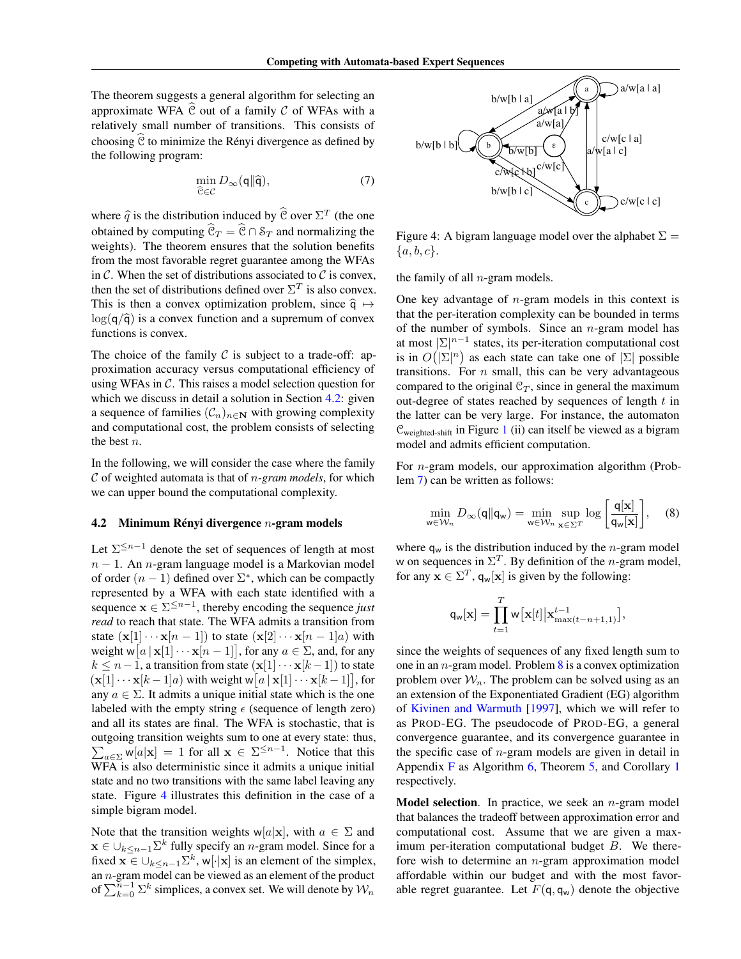The theorem suggests a general algorithm for selecting an approximate WFA  $\hat{C}$  out of a family C of WFAs with a relatively small number of transitions. This consists of choosing  $\hat{C}$  to minimize the Rényi divergence as defined by the following program:

$$
\min_{\widehat{\mathbf{C}} \in \mathcal{C}} D_{\infty}(\mathbf{q} \| \widehat{\mathbf{q}}),\tag{7}
$$

where  $\hat{q}$  is the distribution induced by  $\hat{e}$  over  $\Sigma^{T}$  (the one obtained by computing  $\hat{\mathcal{C}}_T = \hat{\mathcal{C}} \cap \mathcal{S}_T$  and normalizing the weights). The theorem ensures that the solution benefits from the most favorable regret guarantee among the WFAs in  $\mathcal C$ . When the set of distributions associated to  $\mathcal C$  is convex, then the set of distributions defined over  $\Sigma^T$  is also convex. This is then a convex optimization problem, since  $\hat{q} \mapsto$  $\log(q/\hat{q})$  is a convex function and a supremum of convex functions is convex.

The choice of the family  $C$  is subject to a trade-off: approximation accuracy versus computational efficiency of using WFAs in  $C$ . This raises a model selection question for which we discuss in detail a solution in Section 4.2: given a sequence of families  $(C_n)_{n\in\mathbb{N}}$  with growing complexity and computational cost, the problem consists of selecting the best n.

In the following, we will consider the case where the family C of weighted automata is that of n*-gram models*, for which we can upper bound the computational complexity.

#### 4.2 Minimum Rényi divergence  $n$ -gram models

Let  $\Sigma^{\leq n-1}$  denote the set of sequences of length at most  $n - 1$ . An *n*-gram language model is a Markovian model of order  $(n - 1)$  defined over  $\Sigma^*$ , which can be compactly represented by a WFA with each state identified with a sequence  $x \in \Sigma^{\leq n-1}$ , thereby encoding the sequence *just read* to reach that state. The WFA admits a transition from state  $(\mathbf{x}[1] \cdots \mathbf{x}[n-1])$  to state  $(\mathbf{x}[2] \cdots \mathbf{x}[n-1]a)$  with weight  $w[a \mid \mathbf{x}[1] \cdots \mathbf{x}[n-1]]$ , for any  $a \in \Sigma$ , and, for any  $k \leq n-1$ , a transition from state  $(\mathbf{x}[1] \cdots \mathbf{x}[k-1])$  to state  $(\mathbf{x}[1] \cdots \mathbf{x}[k-1]a)$  with weight  $\mathbf{w}[a \mid \mathbf{x}[1] \cdots \mathbf{x}[k-1]]$ , for any  $a \in \Sigma$ . It admits a unique initial state which is the one labeled with the empty string  $\epsilon$  (sequence of length zero) and all its states are final. The WFA is stochastic, that is outgoing transition weights sum to one at every state: thus,  $\sum_{a \in \Sigma} w[a|x] = 1$  for all  $x \in \Sigma^{\leq n-1}$ . Notice that this WFA is also deterministic since it admits a unique initial state and no two transitions with the same label leaving any state. Figure 4 illustrates this definition in the case of a simple bigram model.

Note that the transition weights w[a|x], with  $a \in \Sigma$  and  $\mathbf{x} \in \bigcup_{k \leq n-1} \Sigma^k$  fully specify an *n*-gram model. Since for a fixed  $\mathbf{x} \in \bigcup_{k \leq n-1} \sum^{k}$ , w[·|x] is an element of the simplex, an  $n$ -gram model can be viewed as an element of the product of  $\sum_{k=0}^{n-1} \sum_{k=0}^{k}$  simplices, a convex set. We will denote by  $\mathcal{W}_n$ 



Figure 4: A bigram language model over the alphabet  $\Sigma =$  ${a, b, c}.$ 

the family of all  $n$ -gram models.

One key advantage of  $n$ -gram models in this context is that the per-iteration complexity can be bounded in terms of the number of symbols. Since an  $n$ -gram model has at most  $|\Sigma|^{n-1}$  states, its per-iteration computational cost is in  $O(|\Sigma|^n)$  as each state can take one of  $|\Sigma|$  possible transitions. For  $n$  small, this can be very advantageous compared to the original  $\mathcal{C}_T$ , since in general the maximum out-degree of states reached by sequences of length  $t$  in the latter can be very large. For instance, the automaton  $\mathcal{C}_{weighted-shift}$  in Figure 1 (ii) can itself be viewed as a bigram model and admits efficient computation.

For n-gram models, our approximation algorithm (Problem 7) can be written as follows:

$$
\min_{\mathbf{w}\in\mathcal{W}_n} D_{\infty}(\mathbf{q} \| \mathbf{q}_{\mathbf{w}}) = \min_{\mathbf{w}\in\mathcal{W}_n} \sup_{\mathbf{x}\in\Sigma^T} \log \left[ \frac{\mathbf{q}[\mathbf{x}]}{\mathbf{q}_{\mathbf{w}}[\mathbf{x}]} \right], \quad (8)
$$

where  $q_w$  is the distribution induced by the *n*-gram model w on sequences in  $\Sigma^T$ . By definition of the *n*-gram model, for any  $\mathbf{x} \in \Sigma^{T}$ ,  $\mathsf{q}_{\mathsf{w}}[\mathbf{x}]$  is given by the following:

$$
\mathsf{q_w}[\mathbf{x}] = \prod_{t=1}^T \mathsf{w}\big[\mathbf{x}[t]\big|\mathbf{x}_{\text{max}(t-n+1,1)}^{t-1}\big],
$$

since the weights of sequences of any fixed length sum to one in an  $n$ -gram model. Problem  $8$  is a convex optimization problem over  $W_n$ . The problem can be solved using as an an extension of the Exponentiated Gradient (EG) algorithm of Kivinen and Warmuth [1997], which we will refer to as PROD-EG. The pseudocode of PROD-EG, a general convergence guarantee, and its convergence guarantee in the specific case of  $n$ -gram models are given in detail in Appendix F as Algorithm 6, Theorem 5, and Corollary 1 respectively.

**Model selection.** In practice, we seek an  $n$ -gram model that balances the tradeoff between approximation error and computational cost. Assume that we are given a maximum per-iteration computational budget  $B$ . We therefore wish to determine an  $n$ -gram approximation model affordable within our budget and with the most favorable regret guarantee. Let  $F(\mathsf{q}, \mathsf{q}_w)$  denote the objective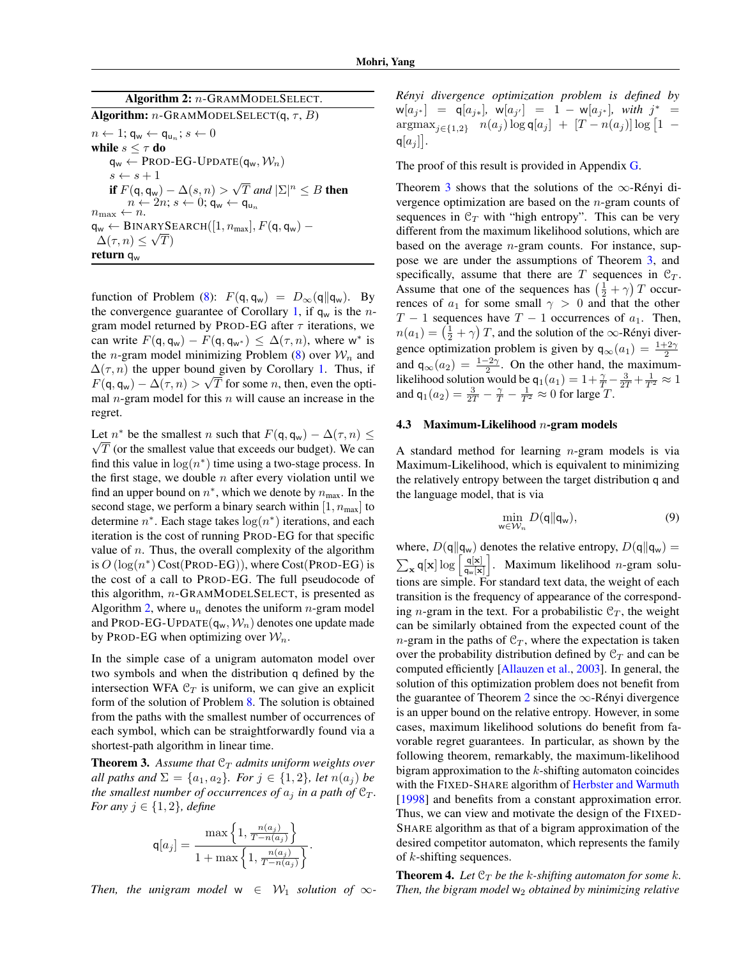| Algorithm 2: $n$ -GRAMMODELSELECT.                                                                                     |
|------------------------------------------------------------------------------------------------------------------------|
| <b>Algorithm:</b> n-GRAMMODELSELECT(q, $\tau$ , B)                                                                     |
| $n \leftarrow 1; \mathsf{q}_{\mathsf{w}} \leftarrow \mathsf{q}_{\mathsf{u}_{\mathsf{m}}}; s \leftarrow 0$              |
| while $s \leq \tau$ do                                                                                                 |
| $q_w \leftarrow$ PROD-EG-UPDATE $(q_w, \mathcal{W}_n)$                                                                 |
| $s \leftarrow s + 1$                                                                                                   |
| if $F(q, q_w) - \Delta(s, n) > \sqrt{T}$ and $ \Sigma ^n \leq B$ then                                                  |
| $n \leftarrow 2n$ ; $s \leftarrow 0$ ; $q_w \leftarrow q_w$                                                            |
| $n_{\text{max}} \leftarrow n$ .                                                                                        |
| $\mathsf{q}_{\mathsf{w}} \leftarrow \text{BINARYSEARCH}([1, n_{\text{max}}], F(\mathsf{q}, \mathsf{q}_{\mathsf{w}})$ – |
| $\Delta(\tau, n) \leq \sqrt{T}$                                                                                        |
| return $q_w$                                                                                                           |

function of Problem (8):  $F(\mathbf{q}, \mathbf{q}_w) = D_\infty(\mathbf{q} || \mathbf{q}_w)$ . By the convergence guarantee of Corollary 1, if  $q_w$  is the *n*gram model returned by PROD-EG after  $\tau$  iterations, we can write  $F(\mathbf{q}, \mathbf{q}_w) - F(\mathbf{q}, \mathbf{q}_{w^*}) \leq \Delta(\tau, n)$ , where w<sup>\*</sup> is the *n*-gram model minimizing Problem  $(8)$  over  $W_n$  and  $\Delta(\tau, n)$  the upper bound given by Corollary 1. Thus, if  $F(\mathsf{q}, \mathsf{q}_w) - \Delta(\tau, n) > \sqrt{T}$  for some *n*, then, even the optimal  $n$ -gram model for this  $n$  will cause an increase in the regret.

Let  $n^*$  be the smallest n such that  $F(q, q_w) - \Delta(\tau, n) \leq$  $\sqrt{T}$  (or the smallest value that exceeds our budget). We can find this value in  $log(n^*)$  time using a two-stage process. In the first stage, we double  $n$  after every violation until we find an upper bound on  $n^*$ , which we denote by  $n_{\text{max}}$ . In the second stage, we perform a binary search within [1,  $n_{\text{max}}$ ] to determine  $n^*$ . Each stage takes  $\log(n^*)$  iterations, and each iteration is the cost of running PROD-EG for that specific value of  $n$ . Thus, the overall complexity of the algorithm is  $O(\log(n^*)\text{Cost}(\text{PROD-EG}))$ , where Cost(PROD-EG) is the cost of a call to PROD-EG. The full pseudocode of this algorithm, n-GRAMMODELSELECT, is presented as Algorithm 2, where  $u_n$  denotes the uniform *n*-gram model and PROD-EG-UPDATE $(q_w, W_n)$  denotes one update made by PROD-EG when optimizing over  $\mathcal{W}_n$ .

In the simple case of a unigram automaton model over two symbols and when the distribution q defined by the intersection WFA  $C_T$  is uniform, we can give an explicit form of the solution of Problem 8. The solution is obtained from the paths with the smallest number of occurrences of each symbol, which can be straightforwardly found via a shortest-path algorithm in linear time.

**Theorem 3.** Assume that  $C_T$  admits uniform weights over *all paths and*  $\Sigma = \{a_1, a_2\}$ *. For*  $j \in \{1, 2\}$ *, let*  $n(a_j)$  *be the smallest number of occurrences of*  $a_j$  *in a path of*  $\mathcal{C}_T$ *. For any*  $j \in \{1, 2\}$ *, define* 

$$
\mathsf{q}[a_j] = \frac{\max\left\{1, \frac{n(a_j)}{T - n(a_j)}\right\}}{1 + \max\left\{1, \frac{n(a_j)}{T - n(a_j)}\right\}}.
$$

*Then, the unigram model*  $w \in W_1$  *solution of*  $\infty$ -

*Rényi divergence optimization problem is defined by*  $w[a_{j*}] = q[a_{j*}], w[a_{j'}] = 1 - w[a_{j*}], with j^* =$  $\arg \max_{j \in \{1,2\}} n(a_j) \log q[a_j] + [T - n(a_j)] \log [1 \mathsf{q}[a_j]$ .

The proof of this result is provided in Appendix G.

Theorem 3 shows that the solutions of the  $\infty$ -Rényi divergence optimization are based on the n-gram counts of sequences in  $C_T$  with "high entropy". This can be very different from the maximum likelihood solutions, which are based on the average  $n$ -gram counts. For instance, suppose we are under the assumptions of Theorem 3, and specifically, assume that there are T sequences in  $C_T$ . Assume that one of the sequences has  $\left(\frac{1}{2} + \gamma\right)T$  occurrences of  $a_1$  for some small  $\gamma > 0$  and that the other  $T - 1$  sequences have  $T - 1$  occurrences of  $a_1$ . Then,  $n(a_1) = (\frac{1}{2} + \gamma) T$ , and the solution of the  $\infty$ -Rényi divergence optimization problem is given by  $q_{\infty}(a_1) = \frac{1+2\gamma}{2}$ and  $q_{\infty}(a_2) = \frac{1-2\gamma}{2}$ . On the other hand, the maximumlikelihood solution would be  $q_1(a_1) = 1 + \frac{\gamma}{T} - \frac{3}{2T} + \frac{1}{T^2} \approx 1$ and  $q_1(a_2) = \frac{3}{2T} - \frac{\gamma}{T} - \frac{1}{T^2} \approx 0$  for large T.

### 4.3 Maximum-Likelihood  $n$ -gram models

A standard method for learning  $n$ -gram models is via Maximum-Likelihood, which is equivalent to minimizing the relatively entropy between the target distribution q and the language model, that is via

$$
\min_{w \in \mathcal{W}_n} D(\mathbf{q} \| \mathbf{q}_w),\tag{9}
$$

where,  $D(q||q_w)$  denotes the relative entropy,  $D(q||q_w)$  =  $\sum_{\mathbf{x}} q[\mathbf{x}] \log \left[ \frac{q[\mathbf{x}]}{q_{\mathbf{w}}[\mathbf{x}]} \right]$  $\left| \right|$ . Maximum likelihood *n*-gram solutions are simple. For standard text data, the weight of each transition is the frequency of appearance of the corresponding *n*-gram in the text. For a probabilistic  $C_T$ , the weight can be similarly obtained from the expected count of the  $n$ -gram in the paths of  $C_T$ , where the expectation is taken over the probability distribution defined by  $\mathcal{C}_T$  and can be computed efficiently [Allauzen et al., 2003]. In general, the solution of this optimization problem does not benefit from the guarantee of Theorem 2 since the  $\infty$ -Rényi divergence is an upper bound on the relative entropy. However, in some cases, maximum likelihood solutions do benefit from favorable regret guarantees. In particular, as shown by the following theorem, remarkably, the maximum-likelihood bigram approximation to the  $k$ -shifting automaton coincides with the FIXED-SHARE algorithm of Herbster and Warmuth [1998] and benefits from a constant approximation error. Thus, we can view and motivate the design of the FIXED-SHARE algorithm as that of a bigram approximation of the desired competitor automaton, which represents the family of  $k$ -shifting sequences.

**Theorem 4.** Let  $C_T$  be the k-shifting automaton for some k. *Then, the bigram model*  $w_2$  *obtained by minimizing relative*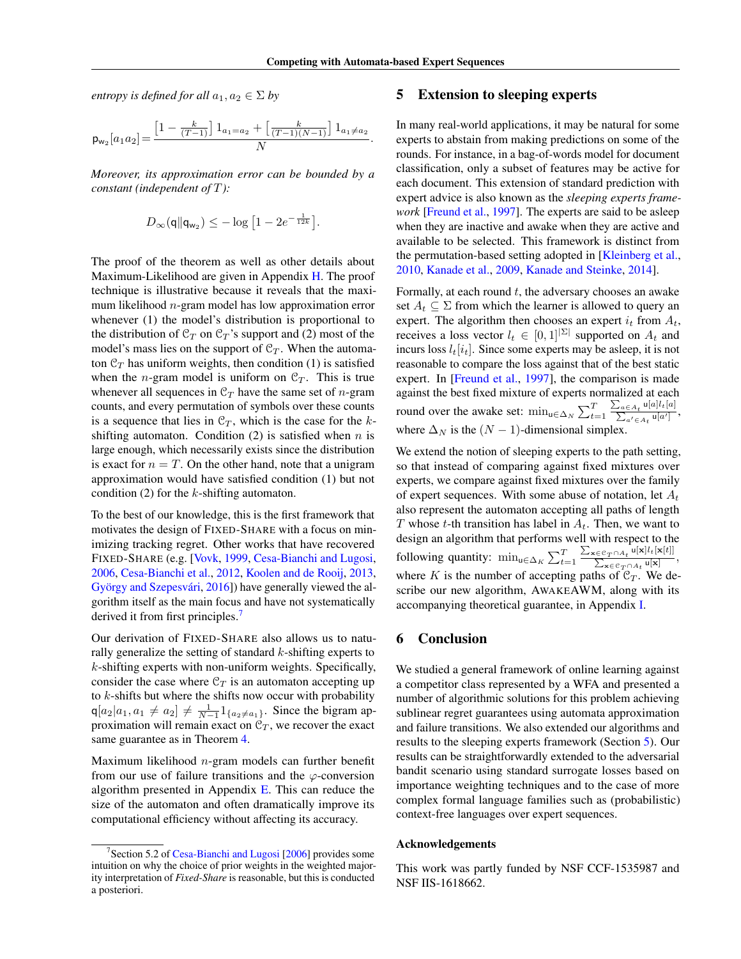*entropy is defined for all*  $a_1, a_2 \in \Sigma$  *by* 

$$
\textsf{p}_{\textsf{w}_2}[a_1a_2]\!=\!\frac{\left[1-\frac{k}{(T-1)}\right]1_{a_1=a_2}+\left[\frac{k}{(T-1)(N-1)}\right]1_{a_1\neq a_2}}{N}.
$$

*Moreover, its approximation error can be bounded by a constant (independent of* T*):*

$$
D_{\infty}(\mathbf{q}||\mathbf{q}_{w_2}) \leq -\log\left[1 - 2e^{-\frac{1}{12k}}\right].
$$

The proof of the theorem as well as other details about Maximum-Likelihood are given in Appendix H. The proof technique is illustrative because it reveals that the maximum likelihood  $n$ -gram model has low approximation error whenever (1) the model's distribution is proportional to the distribution of  $\mathcal{C}_T$  on  $\mathcal{C}_T$ 's support and (2) most of the model's mass lies on the support of  $C_T$ . When the automaton  $\mathcal{C}_T$  has uniform weights, then condition (1) is satisfied when the *n*-gram model is uniform on  $C_T$ . This is true whenever all sequences in  $\mathcal{C}_T$  have the same set of *n*-gram counts, and every permutation of symbols over these counts is a sequence that lies in  $\mathcal{C}_T$ , which is the case for the kshifting automaton. Condition (2) is satisfied when  $n$  is large enough, which necessarily exists since the distribution is exact for  $n = T$ . On the other hand, note that a unigram approximation would have satisfied condition (1) but not condition  $(2)$  for the k-shifting automaton.

To the best of our knowledge, this is the first framework that motivates the design of FIXED-SHARE with a focus on minimizing tracking regret. Other works that have recovered FIXED-SHARE (e.g. [Vovk, 1999, Cesa-Bianchi and Lugosi, 2006, Cesa-Bianchi et al., 2012, Koolen and de Rooij, 2013, György and Szepesvári, 2016]) have generally viewed the algorithm itself as the main focus and have not systematically derived it from first principles.<sup>7</sup>

Our derivation of FIXED-SHARE also allows us to naturally generalize the setting of standard  $k$ -shifting experts to  $k$ -shifting experts with non-uniform weights. Specifically, consider the case where  $C_T$  is an automaton accepting up to  $k$ -shifts but where the shifts now occur with probability  $q[a_2]a_1, a_1 \neq a_2] \neq \frac{1}{N-1} 1_{\{a_2 \neq a_1\}}$ . Since the bigram approximation will remain exact on  $C_T$ , we recover the exact same guarantee as in Theorem 4.

Maximum likelihood  $n$ -gram models can further benefit from our use of failure transitions and the  $\varphi$ -conversion algorithm presented in Appendix  $E$ . This can reduce the size of the automaton and often dramatically improve its computational efficiency without affecting its accuracy.

# 5 Extension to sleeping experts

In many real-world applications, it may be natural for some experts to abstain from making predictions on some of the rounds. For instance, in a bag-of-words model for document classification, only a subset of features may be active for each document. This extension of standard prediction with expert advice is also known as the *sleeping experts framework* [Freund et al., 1997]. The experts are said to be asleep when they are inactive and awake when they are active and available to be selected. This framework is distinct from the permutation-based setting adopted in [Kleinberg et al., 2010, Kanade et al., 2009, Kanade and Steinke, 2014].

Formally, at each round  $t$ , the adversary chooses an awake set  $A_t \subseteq \Sigma$  from which the learner is allowed to query an expert. The algorithm then chooses an expert  $i_t$  from  $A_t$ , receives a loss vector  $l_t \in [0,1]^{|\Sigma|}$  supported on  $A_t$  and incurs loss  $l_t[i_t]$ . Since some experts may be asleep, it is not reasonable to compare the loss against that of the best static expert. In [Freund et al., 1997], the comparison is made against the best fixed mixture of experts normalized at each round over the awake set:  $\min_{u \in \Delta_N} \sum_{t=1}^T$  $\frac{\sum_{a\in A_t}\mathsf{u}[a]l_t[a]}{\sum_{a'\in A_t}\mathsf{u}[a']}$ where  $\Delta_N$  is the  $(N - 1)$ -dimensional simplex.

We extend the notion of sleeping experts to the path setting, so that instead of comparing against fixed mixtures over experts, we compare against fixed mixtures over the family of expert sequences. With some abuse of notation, let  $A_t$ also represent the automaton accepting all paths of length T whose t-th transition has label in  $A_t$ . Then, we want to design an algorithm that performs well with respect to the following quantity:  $\min_{u \in \Delta_K} \sum_{t=1}^T$  $\frac{\sum_{\mathbf{x} \in \mathcal{C}_T \cap A_t} \mathbf{u}[\mathbf{x}] l_t[\mathbf{x}[t]]}{\sum_{\mathbf{x} \in \mathcal{C}_T \cap A_t} \mathbf{u}[\mathbf{x}]},$ where K is the number of accepting paths of  $C_T$ . We describe our new algorithm, AWAKEAWM, along with its accompanying theoretical guarantee, in Appendix I.

# 6 Conclusion

We studied a general framework of online learning against a competitor class represented by a WFA and presented a number of algorithmic solutions for this problem achieving sublinear regret guarantees using automata approximation and failure transitions. We also extended our algorithms and results to the sleeping experts framework (Section 5). Our results can be straightforwardly extended to the adversarial bandit scenario using standard surrogate losses based on importance weighting techniques and to the case of more complex formal language families such as (probabilistic) context-free languages over expert sequences.

### Acknowledgements

This work was partly funded by NSF CCF-1535987 and NSF IIS-1618662.

<sup>&</sup>lt;sup>7</sup>Section 5.2 of Cesa-Bianchi and Lugosi [2006] provides some intuition on why the choice of prior weights in the weighted majority interpretation of *Fixed-Share* is reasonable, but this is conducted a posteriori.